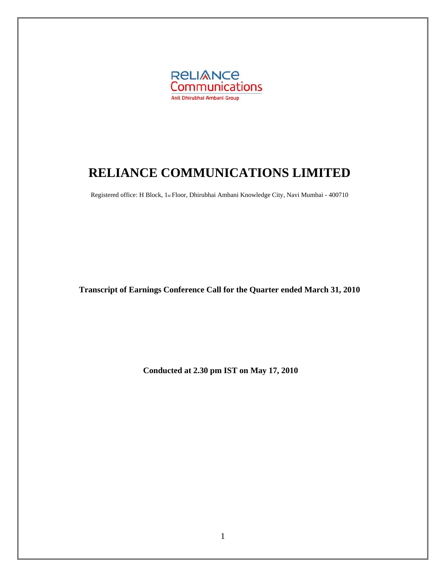

# **RELIANCE COMMUNICATIONS LIMITED**

Registered office: H Block, 1st Floor, Dhirubhai Ambani Knowledge City, Navi Mumbai - 400710

**Transcript of Earnings Conference Call for the Quarter ended March 31, 2010** 

**Conducted at 2.30 pm IST on May 17, 2010**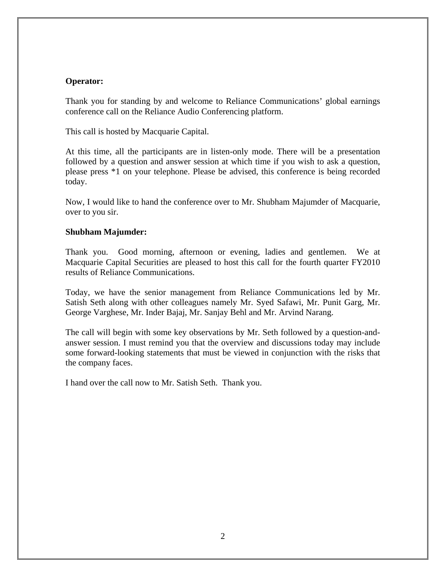## **Operator:**

Thank you for standing by and welcome to Reliance Communications' global earnings conference call on the Reliance Audio Conferencing platform.

This call is hosted by Macquarie Capital.

At this time, all the participants are in listen-only mode. There will be a presentation followed by a question and answer session at which time if you wish to ask a question, please press \*1 on your telephone. Please be advised, this conference is being recorded today.

Now, I would like to hand the conference over to Mr. Shubham Majumder of Macquarie, over to you sir.

#### **Shubham Majumder:**

Thank you. Good morning, afternoon or evening, ladies and gentlemen. We at Macquarie Capital Securities are pleased to host this call for the fourth quarter FY2010 results of Reliance Communications.

Today, we have the senior management from Reliance Communications led by Mr. Satish Seth along with other colleagues namely Mr. Syed Safawi, Mr. Punit Garg, Mr. George Varghese, Mr. Inder Bajaj, Mr. Sanjay Behl and Mr. Arvind Narang.

The call will begin with some key observations by Mr. Seth followed by a question-andanswer session. I must remind you that the overview and discussions today may include some forward-looking statements that must be viewed in conjunction with the risks that the company faces.

I hand over the call now to Mr. Satish Seth. Thank you.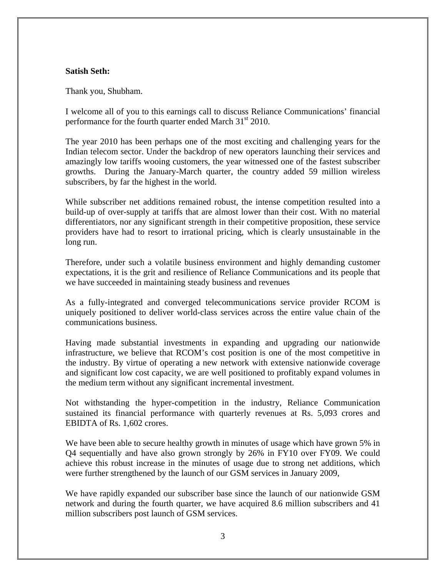## **Satish Seth:**

Thank you, Shubham.

I welcome all of you to this earnings call to discuss Reliance Communications' financial performance for the fourth quarter ended March 31<sup>st</sup> 2010.

The year 2010 has been perhaps one of the most exciting and challenging years for the Indian telecom sector. Under the backdrop of new operators launching their services and amazingly low tariffs wooing customers, the year witnessed one of the fastest subscriber growths. During the January-March quarter, the country added 59 million wireless subscribers, by far the highest in the world.

While subscriber net additions remained robust, the intense competition resulted into a build-up of over-supply at tariffs that are almost lower than their cost. With no material differentiators, nor any significant strength in their competitive proposition, these service providers have had to resort to irrational pricing, which is clearly unsustainable in the long run.

Therefore, under such a volatile business environment and highly demanding customer expectations, it is the grit and resilience of Reliance Communications and its people that we have succeeded in maintaining steady business and revenues

As a fully-integrated and converged telecommunications service provider RCOM is uniquely positioned to deliver world-class services across the entire value chain of the communications business.

Having made substantial investments in expanding and upgrading our nationwide infrastructure, we believe that RCOM's cost position is one of the most competitive in the industry. By virtue of operating a new network with extensive nationwide coverage and significant low cost capacity, we are well positioned to profitably expand volumes in the medium term without any significant incremental investment.

Not withstanding the hyper-competition in the industry, Reliance Communication sustained its financial performance with quarterly revenues at Rs. 5,093 crores and EBIDTA of Rs. 1,602 crores.

We have been able to secure healthy growth in minutes of usage which have grown 5% in Q4 sequentially and have also grown strongly by 26% in FY10 over FY09. We could achieve this robust increase in the minutes of usage due to strong net additions, which were further strengthened by the launch of our GSM services in January 2009,

We have rapidly expanded our subscriber base since the launch of our nationwide GSM network and during the fourth quarter, we have acquired 8.6 million subscribers and 41 million subscribers post launch of GSM services.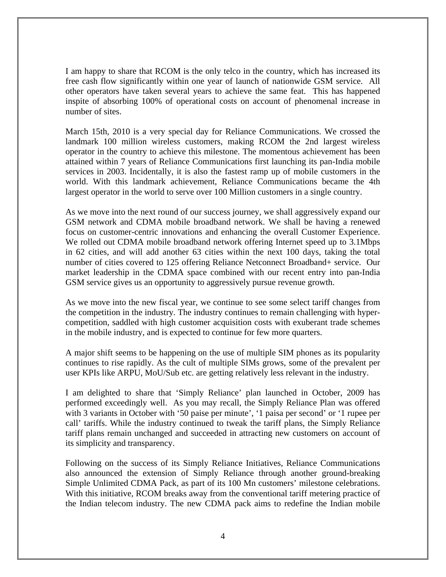I am happy to share that RCOM is the only telco in the country, which has increased its free cash flow significantly within one year of launch of nationwide GSM service. All other operators have taken several years to achieve the same feat. This has happened inspite of absorbing 100% of operational costs on account of phenomenal increase in number of sites.

March 15th, 2010 is a very special day for Reliance Communications. We crossed the landmark 100 million wireless customers, making RCOM the 2nd largest wireless operator in the country to achieve this milestone. The momentous achievement has been attained within 7 years of Reliance Communications first launching its pan-India mobile services in 2003. Incidentally, it is also the fastest ramp up of mobile customers in the world. With this landmark achievement, Reliance Communications became the 4th largest operator in the world to serve over 100 Million customers in a single country.

As we move into the next round of our success journey, we shall aggressively expand our GSM network and CDMA mobile broadband network. We shall be having a renewed focus on customer-centric innovations and enhancing the overall Customer Experience. We rolled out CDMA mobile broadband network offering Internet speed up to 3.1Mbps in 62 cities, and will add another 63 cities within the next 100 days, taking the total number of cities covered to 125 offering Reliance Netconnect Broadband+ service. Our market leadership in the CDMA space combined with our recent entry into pan-India GSM service gives us an opportunity to aggressively pursue revenue growth.

As we move into the new fiscal year, we continue to see some select tariff changes from the competition in the industry. The industry continues to remain challenging with hypercompetition, saddled with high customer acquisition costs with exuberant trade schemes in the mobile industry, and is expected to continue for few more quarters.

A major shift seems to be happening on the use of multiple SIM phones as its popularity continues to rise rapidly. As the cult of multiple SIMs grows, some of the prevalent per user KPIs like ARPU, MoU/Sub etc. are getting relatively less relevant in the industry.

I am delighted to share that 'Simply Reliance' plan launched in October, 2009 has performed exceedingly well. As you may recall, the Simply Reliance Plan was offered with 3 variants in October with '50 paise per minute', '1 paisa per second' or '1 rupee per call' tariffs. While the industry continued to tweak the tariff plans, the Simply Reliance tariff plans remain unchanged and succeeded in attracting new customers on account of its simplicity and transparency.

Following on the success of its Simply Reliance Initiatives, Reliance Communications also announced the extension of Simply Reliance through another ground-breaking Simple Unlimited CDMA Pack, as part of its 100 Mn customers' milestone celebrations. With this initiative, RCOM breaks away from the conventional tariff metering practice of the Indian telecom industry. The new CDMA pack aims to redefine the Indian mobile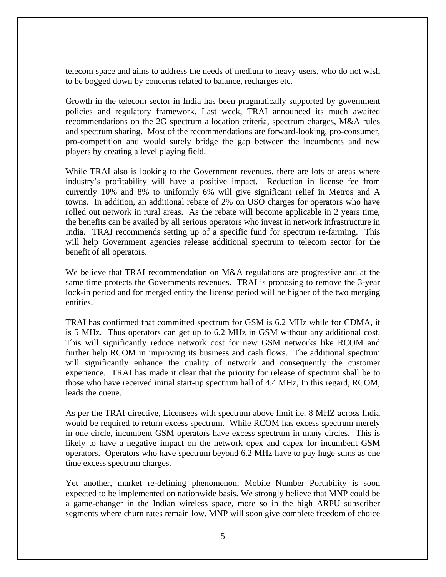telecom space and aims to address the needs of medium to heavy users, who do not wish to be bogged down by concerns related to balance, recharges etc.

Growth in the telecom sector in India has been pragmatically supported by government policies and regulatory framework. Last week, TRAI announced its much awaited recommendations on the 2G spectrum allocation criteria, spectrum charges, M&A rules and spectrum sharing. Most of the recommendations are forward-looking, pro-consumer, pro-competition and would surely bridge the gap between the incumbents and new players by creating a level playing field.

While TRAI also is looking to the Government revenues, there are lots of areas where industry's profitability will have a positive impact. Reduction in license fee from currently 10% and 8% to uniformly 6% will give significant relief in Metros and A towns. In addition, an additional rebate of 2% on USO charges for operators who have rolled out network in rural areas. As the rebate will become applicable in 2 years time, the benefits can be availed by all serious operators who invest in network infrastructure in India. TRAI recommends setting up of a specific fund for spectrum re-farming. This will help Government agencies release additional spectrum to telecom sector for the benefit of all operators.

We believe that TRAI recommendation on M&A regulations are progressive and at the same time protects the Governments revenues. TRAI is proposing to remove the 3-year lock-in period and for merged entity the license period will be higher of the two merging entities.

TRAI has confirmed that committed spectrum for GSM is 6.2 MHz while for CDMA, it is 5 MHz. Thus operators can get up to 6.2 MHz in GSM without any additional cost. This will significantly reduce network cost for new GSM networks like RCOM and further help RCOM in improving its business and cash flows. The additional spectrum will significantly enhance the quality of network and consequently the customer experience. TRAI has made it clear that the priority for release of spectrum shall be to those who have received initial start-up spectrum hall of 4.4 MHz, In this regard, RCOM, leads the queue.

As per the TRAI directive, Licensees with spectrum above limit i.e. 8 MHZ across India would be required to return excess spectrum. While RCOM has excess spectrum merely in one circle, incumbent GSM operators have excess spectrum in many circles. This is likely to have a negative impact on the network opex and capex for incumbent GSM operators. Operators who have spectrum beyond 6.2 MHz have to pay huge sums as one time excess spectrum charges.

Yet another, market re-defining phenomenon, Mobile Number Portability is soon expected to be implemented on nationwide basis. We strongly believe that MNP could be a game-changer in the Indian wireless space, more so in the high ARPU subscriber segments where churn rates remain low. MNP will soon give complete freedom of choice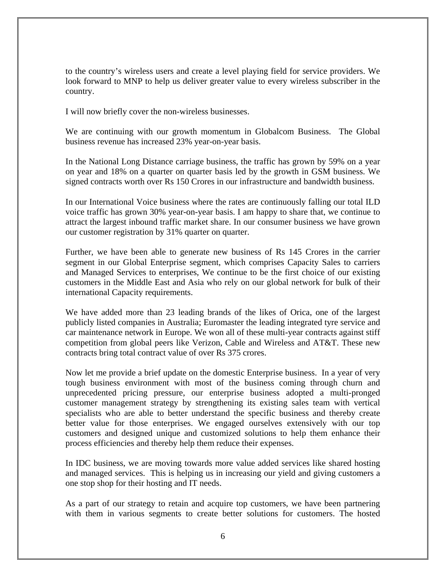to the country's wireless users and create a level playing field for service providers. We look forward to MNP to help us deliver greater value to every wireless subscriber in the country.

I will now briefly cover the non-wireless businesses.

We are continuing with our growth momentum in Globalcom Business. The Global business revenue has increased 23% year-on-year basis.

In the National Long Distance carriage business, the traffic has grown by 59% on a year on year and 18% on a quarter on quarter basis led by the growth in GSM business. We signed contracts worth over Rs 150 Crores in our infrastructure and bandwidth business.

In our International Voice business where the rates are continuously falling our total ILD voice traffic has grown 30% year-on-year basis. I am happy to share that, we continue to attract the largest inbound traffic market share. In our consumer business we have grown our customer registration by 31% quarter on quarter.

Further, we have been able to generate new business of Rs 145 Crores in the carrier segment in our Global Enterprise segment, which comprises Capacity Sales to carriers and Managed Services to enterprises, We continue to be the first choice of our existing customers in the Middle East and Asia who rely on our global network for bulk of their international Capacity requirements.

We have added more than 23 leading brands of the likes of Orica, one of the largest publicly listed companies in Australia; Euromaster the leading integrated tyre service and car maintenance network in Europe. We won all of these multi-year contracts against stiff competition from global peers like Verizon, Cable and Wireless and AT&T. These new contracts bring total contract value of over Rs 375 crores.

Now let me provide a brief update on the domestic Enterprise business. In a year of very tough business environment with most of the business coming through churn and unprecedented pricing pressure, our enterprise business adopted a multi-pronged customer management strategy by strengthening its existing sales team with vertical specialists who are able to better understand the specific business and thereby create better value for those enterprises. We engaged ourselves extensively with our top customers and designed unique and customized solutions to help them enhance their process efficiencies and thereby help them reduce their expenses.

In IDC business, we are moving towards more value added services like shared hosting and managed services. This is helping us in increasing our yield and giving customers a one stop shop for their hosting and IT needs.

As a part of our strategy to retain and acquire top customers, we have been partnering with them in various segments to create better solutions for customers. The hosted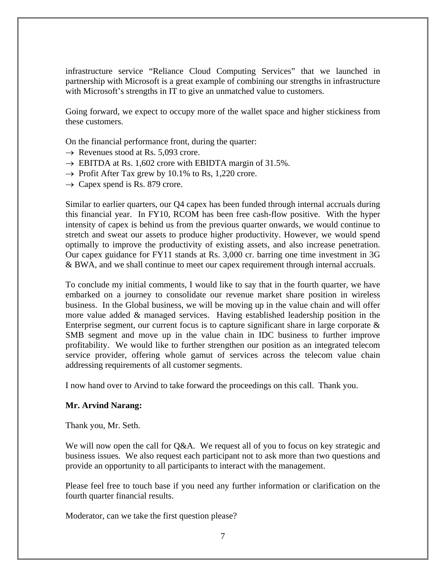infrastructure service "Reliance Cloud Computing Services" that we launched in partnership with Microsoft is a great example of combining our strengths in infrastructure with Microsoft's strengths in IT to give an unmatched value to customers.

Going forward, we expect to occupy more of the wallet space and higher stickiness from these customers.

On the financial performance front, during the quarter:

- $\rightarrow$  Revenues stood at Rs. 5,093 crore.
- $\rightarrow$  EBITDA at Rs. 1,602 crore with EBIDTA margin of 31.5%.
- $\rightarrow$  Profit After Tax grew by 10.1% to Rs, 1,220 crore.
- $\rightarrow$  Capex spend is Rs. 879 crore.

Similar to earlier quarters, our Q4 capex has been funded through internal accruals during this financial year. In FY10, RCOM has been free cash-flow positive. With the hyper intensity of capex is behind us from the previous quarter onwards, we would continue to stretch and sweat our assets to produce higher productivity. However, we would spend optimally to improve the productivity of existing assets, and also increase penetration. Our capex guidance for FY11 stands at Rs. 3,000 cr. barring one time investment in 3G & BWA, and we shall continue to meet our capex requirement through internal accruals.

To conclude my initial comments, I would like to say that in the fourth quarter, we have embarked on a journey to consolidate our revenue market share position in wireless business. In the Global business, we will be moving up in the value chain and will offer more value added & managed services. Having established leadership position in the Enterprise segment, our current focus is to capture significant share in large corporate  $\&$ SMB segment and move up in the value chain in IDC business to further improve profitability. We would like to further strengthen our position as an integrated telecom service provider, offering whole gamut of services across the telecom value chain addressing requirements of all customer segments.

I now hand over to Arvind to take forward the proceedings on this call. Thank you.

# **Mr. Arvind Narang:**

Thank you, Mr. Seth.

We will now open the call for  $Q\&A$ . We request all of you to focus on key strategic and business issues. We also request each participant not to ask more than two questions and provide an opportunity to all participants to interact with the management.

Please feel free to touch base if you need any further information or clarification on the fourth quarter financial results.

Moderator, can we take the first question please?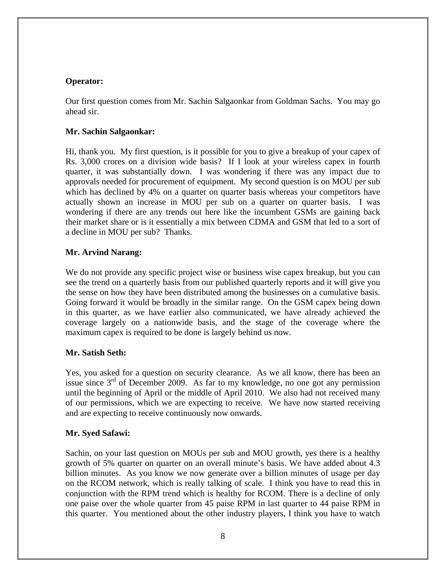## **Operator:**

Our first question comes from Mr. Sachin Salgaonkar from Goldman Sachs. You may go ahead sir.

## **Mr. Sachin Salgaonkar:**

Hi, thank you. My first question, is it possible for you to give a breakup of your capex of Rs. 3,000 crores on a division wide basis? If I look at your wireless capex in fourth quarter, it was substantially down. I was wondering if there was any impact due to approvals needed for procurement of equipment. My second question is on MOU per sub which has declined by 4% on a quarter on quarter basis whereas your competitors have actually shown an increase in MOU per sub on a quarter on quarter basis. I was wondering if there are any trends out here like the incumbent GSMs are gaining back their market share or is it essentially a mix between CDMA and GSM that led to a sort of a decline in MOU per sub? Thanks.

# **Mr. Arvind Narang:**

We do not provide any specific project wise or business wise capex breakup, but you can see the trend on a quarterly basis from our published quarterly reports and it will give you the sense on how they have been distributed among the businesses on a cumulative basis. Going forward it would be broadly in the similar range. On the GSM capex being down in this quarter, as we have earlier also communicated, we have already achieved the coverage largely on a nationwide basis, and the stage of the coverage where the maximum capex is required to be done is largely behind us now.

# **Mr. Satish Seth:**

Yes, you asked for a question on security clearance. As we all know, there has been an issue since  $3<sup>rd</sup>$  of December 2009. As far to my knowledge, no one got any permission until the beginning of April or the middle of April 2010. We also had not received many of our permissions, which we are expecting to receive. We have now started receiving and are expecting to receive continuously now onwards.

# **Mr. Syed Safawi:**

Sachin, on your last question on MOUs per sub and MOU growth, yes there is a healthy growth of 5% quarter on quarter on an overall minute's basis. We have added about 4.3 billion minutes. As you know we now generate over a billion minutes of usage per day on the RCOM network, which is really talking of scale. I think you have to read this in conjunction with the RPM trend which is healthy for RCOM. There is a decline of only one paise over the whole quarter from 45 paise RPM in last quarter to 44 paise RPM in this quarter. You mentioned about the other industry players, I think you have to watch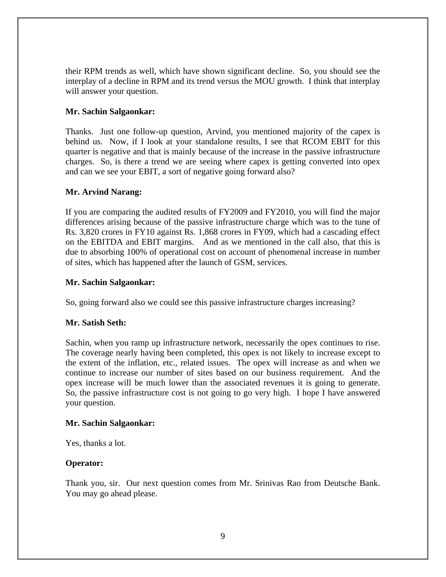their RPM trends as well, which have shown significant decline. So, you should see the interplay of a decline in RPM and its trend versus the MOU growth. I think that interplay will answer your question.

## **Mr. Sachin Salgaonkar:**

Thanks. Just one follow-up question, Arvind, you mentioned majority of the capex is behind us. Now, if I look at your standalone results, I see that RCOM EBIT for this quarter is negative and that is mainly because of the increase in the passive infrastructure charges. So, is there a trend we are seeing where capex is getting converted into opex and can we see your EBIT, a sort of negative going forward also?

## **Mr. Arvind Narang:**

If you are comparing the audited results of FY2009 and FY2010, you will find the major differences arising because of the passive infrastructure charge which was to the tune of Rs. 3,820 crores in FY10 against Rs. 1,868 crores in FY09, which had a cascading effect on the EBITDA and EBIT margins. And as we mentioned in the call also, that this is due to absorbing 100% of operational cost on account of phenomenal increase in number of sites, which has happened after the launch of GSM, services.

## **Mr. Sachin Salgaonkar:**

So, going forward also we could see this passive infrastructure charges increasing?

# **Mr. Satish Seth:**

Sachin, when you ramp up infrastructure network, necessarily the opex continues to rise. The coverage nearly having been completed, this opex is not likely to increase except to the extent of the inflation, etc., related issues. The opex will increase as and when we continue to increase our number of sites based on our business requirement. And the opex increase will be much lower than the associated revenues it is going to generate. So, the passive infrastructure cost is not going to go very high. I hope I have answered your question.

#### **Mr. Sachin Salgaonkar:**

Yes, thanks a lot.

# **Operator:**

Thank you, sir. Our next question comes from Mr. Srinivas Rao from Deutsche Bank. You may go ahead please.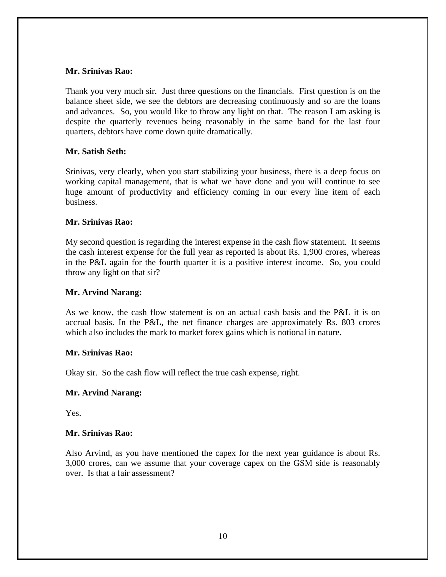## **Mr. Srinivas Rao:**

Thank you very much sir. Just three questions on the financials. First question is on the balance sheet side, we see the debtors are decreasing continuously and so are the loans and advances. So, you would like to throw any light on that. The reason I am asking is despite the quarterly revenues being reasonably in the same band for the last four quarters, debtors have come down quite dramatically.

## **Mr. Satish Seth:**

Srinivas, very clearly, when you start stabilizing your business, there is a deep focus on working capital management, that is what we have done and you will continue to see huge amount of productivity and efficiency coming in our every line item of each business.

#### **Mr. Srinivas Rao:**

My second question is regarding the interest expense in the cash flow statement. It seems the cash interest expense for the full year as reported is about Rs. 1,900 crores, whereas in the P&L again for the fourth quarter it is a positive interest income. So, you could throw any light on that sir?

#### **Mr. Arvind Narang:**

As we know, the cash flow statement is on an actual cash basis and the P&L it is on accrual basis. In the P&L, the net finance charges are approximately Rs. 803 crores which also includes the mark to market forex gains which is notional in nature.

#### **Mr. Srinivas Rao:**

Okay sir. So the cash flow will reflect the true cash expense, right.

#### **Mr. Arvind Narang:**

Yes.

#### **Mr. Srinivas Rao:**

Also Arvind, as you have mentioned the capex for the next year guidance is about Rs. 3,000 crores, can we assume that your coverage capex on the GSM side is reasonably over. Is that a fair assessment?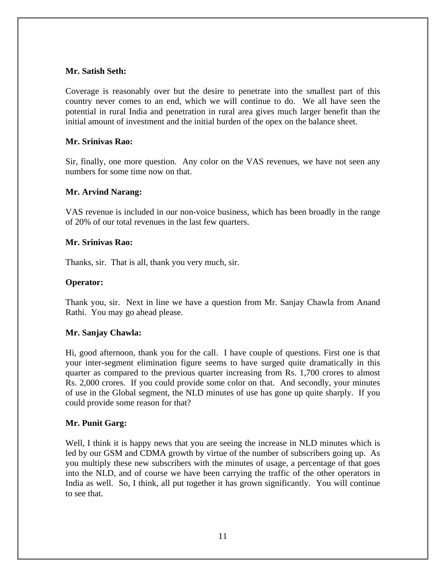## **Mr. Satish Seth:**

Coverage is reasonably over but the desire to penetrate into the smallest part of this country never comes to an end, which we will continue to do. We all have seen the potential in rural India and penetration in rural area gives much larger benefit than the initial amount of investment and the initial burden of the opex on the balance sheet.

## **Mr. Srinivas Rao:**

Sir, finally, one more question. Any color on the VAS revenues, we have not seen any numbers for some time now on that.

## **Mr. Arvind Narang:**

VAS revenue is included in our non-voice business, which has been broadly in the range of 20% of our total revenues in the last few quarters.

#### **Mr. Srinivas Rao:**

Thanks, sir. That is all, thank you very much, sir.

## **Operator:**

Thank you, sir. Next in line we have a question from Mr. Sanjay Chawla from Anand Rathi. You may go ahead please.

# **Mr. Sanjay Chawla:**

Hi, good afternoon, thank you for the call. I have couple of questions. First one is that your inter-segment elimination figure seems to have surged quite dramatically in this quarter as compared to the previous quarter increasing from Rs. 1,700 crores to almost Rs. 2,000 crores. If you could provide some color on that. And secondly, your minutes of use in the Global segment, the NLD minutes of use has gone up quite sharply. If you could provide some reason for that?

# **Mr. Punit Garg:**

Well, I think it is happy news that you are seeing the increase in NLD minutes which is led by our GSM and CDMA growth by virtue of the number of subscribers going up. As you multiply these new subscribers with the minutes of usage, a percentage of that goes into the NLD, and of course we have been carrying the traffic of the other operators in India as well. So, I think, all put together it has grown significantly. You will continue to see that.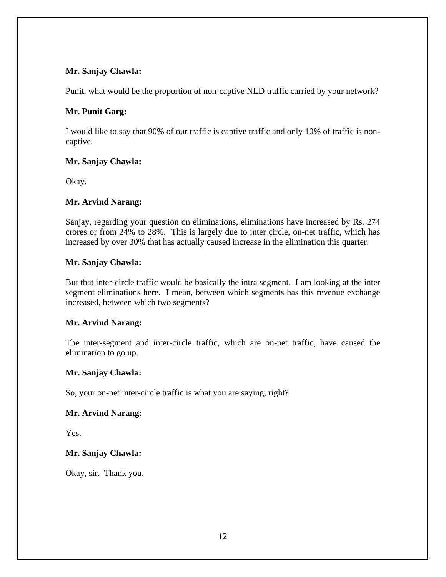## **Mr. Sanjay Chawla:**

Punit, what would be the proportion of non-captive NLD traffic carried by your network?

# **Mr. Punit Garg:**

I would like to say that 90% of our traffic is captive traffic and only 10% of traffic is noncaptive.

# **Mr. Sanjay Chawla:**

Okay.

# **Mr. Arvind Narang:**

Sanjay, regarding your question on eliminations, eliminations have increased by Rs. 274 crores or from 24% to 28%. This is largely due to inter circle, on-net traffic, which has increased by over 30% that has actually caused increase in the elimination this quarter.

# **Mr. Sanjay Chawla:**

But that inter-circle traffic would be basically the intra segment. I am looking at the inter segment eliminations here. I mean, between which segments has this revenue exchange increased, between which two segments?

# **Mr. Arvind Narang:**

The inter-segment and inter-circle traffic, which are on-net traffic, have caused the elimination to go up.

# **Mr. Sanjay Chawla:**

So, your on-net inter-circle traffic is what you are saying, right?

# **Mr. Arvind Narang:**

Yes.

# **Mr. Sanjay Chawla:**

Okay, sir. Thank you.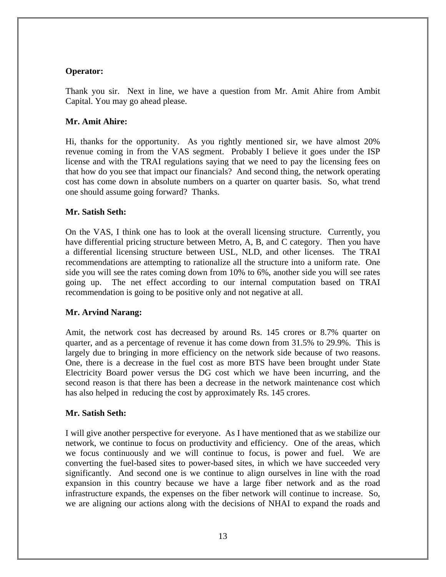# **Operator:**

Thank you sir. Next in line, we have a question from Mr. Amit Ahire from Ambit Capital. You may go ahead please.

# **Mr. Amit Ahire:**

Hi, thanks for the opportunity. As you rightly mentioned sir, we have almost 20% revenue coming in from the VAS segment. Probably I believe it goes under the ISP license and with the TRAI regulations saying that we need to pay the licensing fees on that how do you see that impact our financials? And second thing, the network operating cost has come down in absolute numbers on a quarter on quarter basis. So, what trend one should assume going forward? Thanks.

# **Mr. Satish Seth:**

On the VAS, I think one has to look at the overall licensing structure. Currently, you have differential pricing structure between Metro, A, B, and C category. Then you have a differential licensing structure between USL, NLD, and other licenses. The TRAI recommendations are attempting to rationalize all the structure into a uniform rate. One side you will see the rates coming down from 10% to 6%, another side you will see rates going up. The net effect according to our internal computation based on TRAI recommendation is going to be positive only and not negative at all.

# **Mr. Arvind Narang:**

Amit, the network cost has decreased by around Rs. 145 crores or 8.7% quarter on quarter, and as a percentage of revenue it has come down from 31.5% to 29.9%. This is largely due to bringing in more efficiency on the network side because of two reasons. One, there is a decrease in the fuel cost as more BTS have been brought under State Electricity Board power versus the DG cost which we have been incurring, and the second reason is that there has been a decrease in the network maintenance cost which has also helped in reducing the cost by approximately Rs. 145 crores.

# **Mr. Satish Seth:**

I will give another perspective for everyone. As I have mentioned that as we stabilize our network, we continue to focus on productivity and efficiency. One of the areas, which we focus continuously and we will continue to focus, is power and fuel. We are converting the fuel-based sites to power-based sites, in which we have succeeded very significantly. And second one is we continue to align ourselves in line with the road expansion in this country because we have a large fiber network and as the road infrastructure expands, the expenses on the fiber network will continue to increase. So, we are aligning our actions along with the decisions of NHAI to expand the roads and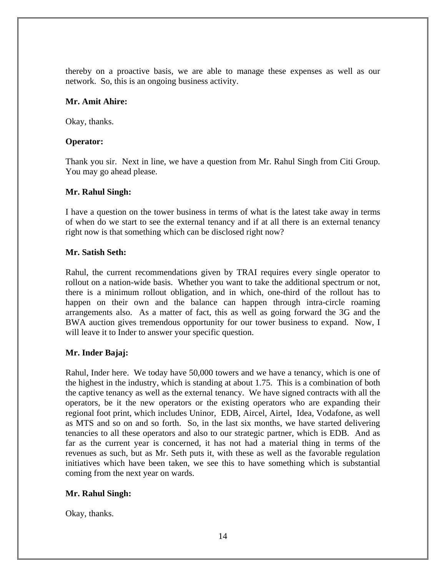thereby on a proactive basis, we are able to manage these expenses as well as our network. So, this is an ongoing business activity.

## **Mr. Amit Ahire:**

Okay, thanks.

## **Operator:**

Thank you sir. Next in line, we have a question from Mr. Rahul Singh from Citi Group. You may go ahead please.

## **Mr. Rahul Singh:**

I have a question on the tower business in terms of what is the latest take away in terms of when do we start to see the external tenancy and if at all there is an external tenancy right now is that something which can be disclosed right now?

# **Mr. Satish Seth:**

Rahul, the current recommendations given by TRAI requires every single operator to rollout on a nation-wide basis. Whether you want to take the additional spectrum or not, there is a minimum rollout obligation, and in which, one-third of the rollout has to happen on their own and the balance can happen through intra-circle roaming arrangements also. As a matter of fact, this as well as going forward the 3G and the BWA auction gives tremendous opportunity for our tower business to expand. Now, I will leave it to Inder to answer your specific question.

# **Mr. Inder Bajaj:**

Rahul, Inder here. We today have 50,000 towers and we have a tenancy, which is one of the highest in the industry, which is standing at about 1.75. This is a combination of both the captive tenancy as well as the external tenancy. We have signed contracts with all the operators, be it the new operators or the existing operators who are expanding their regional foot print, which includes Uninor, EDB, Aircel, Airtel, Idea, Vodafone, as well as MTS and so on and so forth. So, in the last six months, we have started delivering tenancies to all these operators and also to our strategic partner, which is EDB. And as far as the current year is concerned, it has not had a material thing in terms of the revenues as such, but as Mr. Seth puts it, with these as well as the favorable regulation initiatives which have been taken, we see this to have something which is substantial coming from the next year on wards.

# **Mr. Rahul Singh:**

Okay, thanks.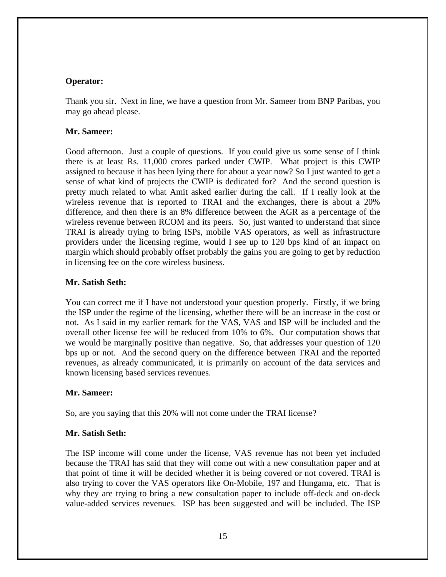#### **Operator:**

Thank you sir. Next in line, we have a question from Mr. Sameer from BNP Paribas, you may go ahead please.

## **Mr. Sameer:**

Good afternoon. Just a couple of questions. If you could give us some sense of I think there is at least Rs. 11,000 crores parked under CWIP. What project is this CWIP assigned to because it has been lying there for about a year now? So I just wanted to get a sense of what kind of projects the CWIP is dedicated for? And the second question is pretty much related to what Amit asked earlier during the call. If I really look at the wireless revenue that is reported to TRAI and the exchanges, there is about a 20% difference, and then there is an 8% difference between the AGR as a percentage of the wireless revenue between RCOM and its peers. So, just wanted to understand that since TRAI is already trying to bring ISPs, mobile VAS operators, as well as infrastructure providers under the licensing regime, would I see up to 120 bps kind of an impact on margin which should probably offset probably the gains you are going to get by reduction in licensing fee on the core wireless business.

# **Mr. Satish Seth:**

You can correct me if I have not understood your question properly. Firstly, if we bring the ISP under the regime of the licensing, whether there will be an increase in the cost or not. As I said in my earlier remark for the VAS, VAS and ISP will be included and the overall other license fee will be reduced from 10% to 6%. Our computation shows that we would be marginally positive than negative. So, that addresses your question of 120 bps up or not. And the second query on the difference between TRAI and the reported revenues, as already communicated, it is primarily on account of the data services and known licensing based services revenues.

#### **Mr. Sameer:**

So, are you saying that this 20% will not come under the TRAI license?

# **Mr. Satish Seth:**

The ISP income will come under the license, VAS revenue has not been yet included because the TRAI has said that they will come out with a new consultation paper and at that point of time it will be decided whether it is being covered or not covered. TRAI is also trying to cover the VAS operators like On-Mobile, 197 and Hungama, etc. That is why they are trying to bring a new consultation paper to include off-deck and on-deck value-added services revenues. ISP has been suggested and will be included. The ISP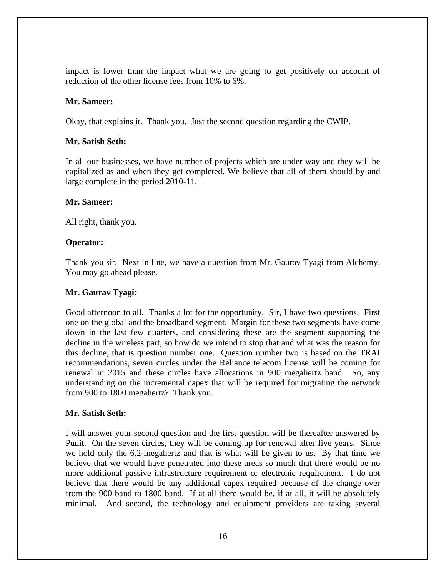impact is lower than the impact what we are going to get positively on account of reduction of the other license fees from 10% to 6%.

#### **Mr. Sameer:**

Okay, that explains it. Thank you. Just the second question regarding the CWIP.

#### **Mr. Satish Seth:**

In all our businesses, we have number of projects which are under way and they will be capitalized as and when they get completed. We believe that all of them should by and large complete in the period 2010-11.

#### **Mr. Sameer:**

All right, thank you.

#### **Operator:**

Thank you sir. Next in line, we have a question from Mr. Gaurav Tyagi from Alchemy. You may go ahead please.

#### **Mr. Gaurav Tyagi:**

Good afternoon to all. Thanks a lot for the opportunity. Sir, I have two questions. First one on the global and the broadband segment. Margin for these two segments have come down in the last few quarters, and considering these are the segment supporting the decline in the wireless part, so how do we intend to stop that and what was the reason for this decline, that is question number one. Question number two is based on the TRAI recommendations, seven circles under the Reliance telecom license will be coming for renewal in 2015 and these circles have allocations in 900 megahertz band. So, any understanding on the incremental capex that will be required for migrating the network from 900 to 1800 megahertz? Thank you.

#### **Mr. Satish Seth:**

I will answer your second question and the first question will be thereafter answered by Punit. On the seven circles, they will be coming up for renewal after five years. Since we hold only the 6.2-megahertz and that is what will be given to us. By that time we believe that we would have penetrated into these areas so much that there would be no more additional passive infrastructure requirement or electronic requirement. I do not believe that there would be any additional capex required because of the change over from the 900 band to 1800 band. If at all there would be, if at all, it will be absolutely minimal. And second, the technology and equipment providers are taking several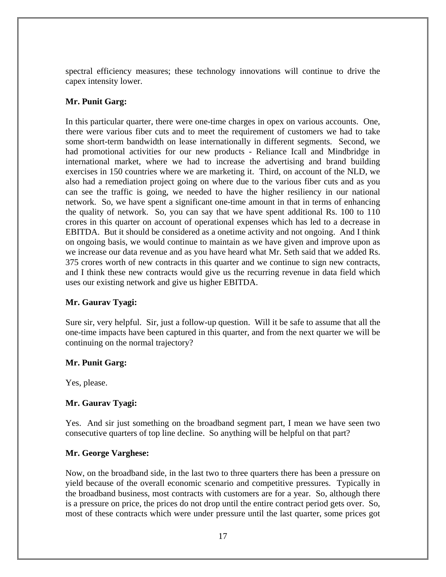spectral efficiency measures; these technology innovations will continue to drive the capex intensity lower.

# **Mr. Punit Garg:**

In this particular quarter, there were one-time charges in opex on various accounts. One, there were various fiber cuts and to meet the requirement of customers we had to take some short-term bandwidth on lease internationally in different segments. Second, we had promotional activities for our new products - Reliance Icall and Mindbridge in international market, where we had to increase the advertising and brand building exercises in 150 countries where we are marketing it. Third, on account of the NLD, we also had a remediation project going on where due to the various fiber cuts and as you can see the traffic is going, we needed to have the higher resiliency in our national network. So, we have spent a significant one-time amount in that in terms of enhancing the quality of network. So, you can say that we have spent additional Rs. 100 to 110 crores in this quarter on account of operational expenses which has led to a decrease in EBITDA. But it should be considered as a onetime activity and not ongoing. And I think on ongoing basis, we would continue to maintain as we have given and improve upon as we increase our data revenue and as you have heard what Mr. Seth said that we added Rs. 375 crores worth of new contracts in this quarter and we continue to sign new contracts, and I think these new contracts would give us the recurring revenue in data field which uses our existing network and give us higher EBITDA.

# **Mr. Gaurav Tyagi:**

Sure sir, very helpful. Sir, just a follow-up question. Will it be safe to assume that all the one-time impacts have been captured in this quarter, and from the next quarter we will be continuing on the normal trajectory?

# **Mr. Punit Garg:**

Yes, please.

# **Mr. Gaurav Tyagi:**

Yes. And sir just something on the broadband segment part, I mean we have seen two consecutive quarters of top line decline. So anything will be helpful on that part?

# **Mr. George Varghese:**

Now, on the broadband side, in the last two to three quarters there has been a pressure on yield because of the overall economic scenario and competitive pressures. Typically in the broadband business, most contracts with customers are for a year. So, although there is a pressure on price, the prices do not drop until the entire contract period gets over. So, most of these contracts which were under pressure until the last quarter, some prices got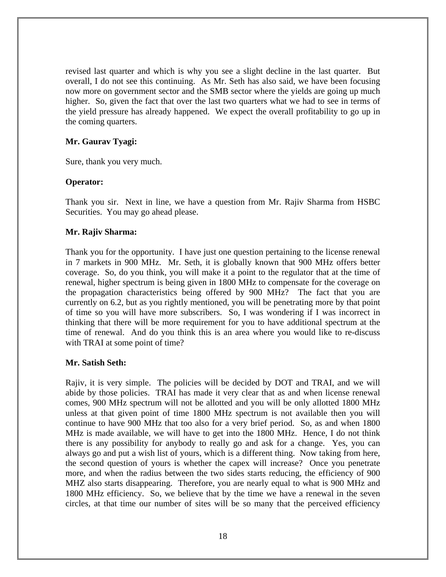revised last quarter and which is why you see a slight decline in the last quarter. But overall, I do not see this continuing. As Mr. Seth has also said, we have been focusing now more on government sector and the SMB sector where the yields are going up much higher. So, given the fact that over the last two quarters what we had to see in terms of the yield pressure has already happened. We expect the overall profitability to go up in the coming quarters.

#### **Mr. Gaurav Tyagi:**

Sure, thank you very much.

#### **Operator:**

Thank you sir. Next in line, we have a question from Mr. Rajiv Sharma from HSBC Securities. You may go ahead please.

#### **Mr. Rajiv Sharma:**

Thank you for the opportunity. I have just one question pertaining to the license renewal in 7 markets in 900 MHz. Mr. Seth, it is globally known that 900 MHz offers better coverage. So, do you think, you will make it a point to the regulator that at the time of renewal, higher spectrum is being given in 1800 MHz to compensate for the coverage on the propagation characteristics being offered by 900 MHz? The fact that you are currently on 6.2, but as you rightly mentioned, you will be penetrating more by that point of time so you will have more subscribers. So, I was wondering if I was incorrect in thinking that there will be more requirement for you to have additional spectrum at the time of renewal. And do you think this is an area where you would like to re-discuss with TRAI at some point of time?

#### **Mr. Satish Seth:**

Rajiv, it is very simple. The policies will be decided by DOT and TRAI, and we will abide by those policies. TRAI has made it very clear that as and when license renewal comes, 900 MHz spectrum will not be allotted and you will be only allotted 1800 MHz unless at that given point of time 1800 MHz spectrum is not available then you will continue to have 900 MHz that too also for a very brief period. So, as and when 1800 MHz is made available, we will have to get into the 1800 MHz. Hence, I do not think there is any possibility for anybody to really go and ask for a change. Yes, you can always go and put a wish list of yours, which is a different thing. Now taking from here, the second question of yours is whether the capex will increase? Once you penetrate more, and when the radius between the two sides starts reducing, the efficiency of 900 MHZ also starts disappearing. Therefore, you are nearly equal to what is 900 MHz and 1800 MHz efficiency. So, we believe that by the time we have a renewal in the seven circles, at that time our number of sites will be so many that the perceived efficiency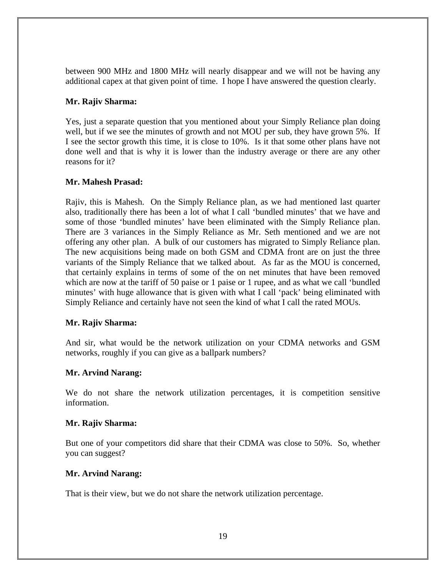between 900 MHz and 1800 MHz will nearly disappear and we will not be having any additional capex at that given point of time. I hope I have answered the question clearly.

## **Mr. Rajiv Sharma:**

Yes, just a separate question that you mentioned about your Simply Reliance plan doing well, but if we see the minutes of growth and not MOU per sub, they have grown 5%. If I see the sector growth this time, it is close to 10%. Is it that some other plans have not done well and that is why it is lower than the industry average or there are any other reasons for it?

## **Mr. Mahesh Prasad:**

Rajiv, this is Mahesh. On the Simply Reliance plan, as we had mentioned last quarter also, traditionally there has been a lot of what I call 'bundled minutes' that we have and some of those 'bundled minutes' have been eliminated with the Simply Reliance plan. There are 3 variances in the Simply Reliance as Mr. Seth mentioned and we are not offering any other plan. A bulk of our customers has migrated to Simply Reliance plan. The new acquisitions being made on both GSM and CDMA front are on just the three variants of the Simply Reliance that we talked about. As far as the MOU is concerned, that certainly explains in terms of some of the on net minutes that have been removed which are now at the tariff of 50 paise or 1 paise or 1 rupee, and as what we call 'bundled minutes' with huge allowance that is given with what I call 'pack' being eliminated with Simply Reliance and certainly have not seen the kind of what I call the rated MOUs.

# **Mr. Rajiv Sharma:**

And sir, what would be the network utilization on your CDMA networks and GSM networks, roughly if you can give as a ballpark numbers?

# **Mr. Arvind Narang:**

We do not share the network utilization percentages, it is competition sensitive information.

#### **Mr. Rajiv Sharma:**

But one of your competitors did share that their CDMA was close to 50%. So, whether you can suggest?

#### **Mr. Arvind Narang:**

That is their view, but we do not share the network utilization percentage.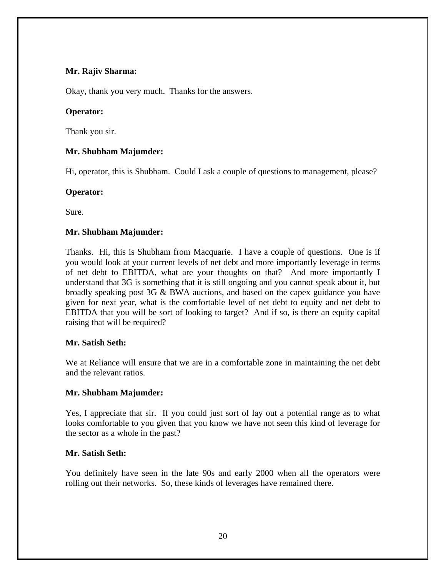# **Mr. Rajiv Sharma:**

Okay, thank you very much. Thanks for the answers.

## **Operator:**

Thank you sir.

# **Mr. Shubham Majumder:**

Hi, operator, this is Shubham. Could I ask a couple of questions to management, please?

## **Operator:**

Sure.

# **Mr. Shubham Majumder:**

Thanks. Hi, this is Shubham from Macquarie. I have a couple of questions. One is if you would look at your current levels of net debt and more importantly leverage in terms of net debt to EBITDA, what are your thoughts on that? And more importantly I understand that 3G is something that it is still ongoing and you cannot speak about it, but broadly speaking post 3G & BWA auctions, and based on the capex guidance you have given for next year, what is the comfortable level of net debt to equity and net debt to EBITDA that you will be sort of looking to target? And if so, is there an equity capital raising that will be required?

# **Mr. Satish Seth:**

We at Reliance will ensure that we are in a comfortable zone in maintaining the net debt and the relevant ratios.

# **Mr. Shubham Majumder:**

Yes, I appreciate that sir. If you could just sort of lay out a potential range as to what looks comfortable to you given that you know we have not seen this kind of leverage for the sector as a whole in the past?

# **Mr. Satish Seth:**

You definitely have seen in the late 90s and early 2000 when all the operators were rolling out their networks. So, these kinds of leverages have remained there.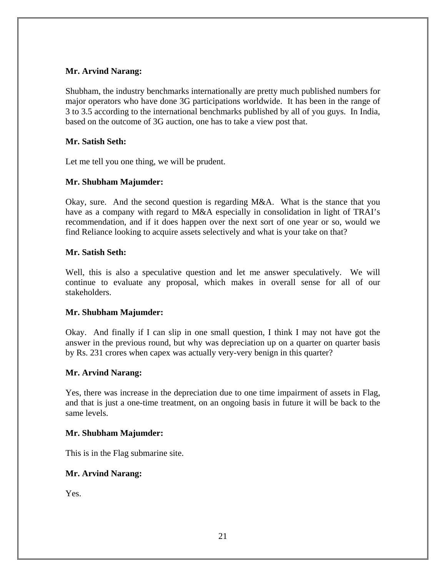# **Mr. Arvind Narang:**

Shubham, the industry benchmarks internationally are pretty much published numbers for major operators who have done 3G participations worldwide. It has been in the range of 3 to 3.5 according to the international benchmarks published by all of you guys. In India, based on the outcome of 3G auction, one has to take a view post that.

# **Mr. Satish Seth:**

Let me tell you one thing, we will be prudent.

# **Mr. Shubham Majumder:**

Okay, sure. And the second question is regarding M&A. What is the stance that you have as a company with regard to M&A especially in consolidation in light of TRAI's recommendation, and if it does happen over the next sort of one year or so, would we find Reliance looking to acquire assets selectively and what is your take on that?

# **Mr. Satish Seth:**

Well, this is also a speculative question and let me answer speculatively. We will continue to evaluate any proposal, which makes in overall sense for all of our stakeholders.

# **Mr. Shubham Majumder:**

Okay. And finally if I can slip in one small question, I think I may not have got the answer in the previous round, but why was depreciation up on a quarter on quarter basis by Rs. 231 crores when capex was actually very-very benign in this quarter?

# **Mr. Arvind Narang:**

Yes, there was increase in the depreciation due to one time impairment of assets in Flag, and that is just a one-time treatment, on an ongoing basis in future it will be back to the same levels.

# **Mr. Shubham Majumder:**

This is in the Flag submarine site.

# **Mr. Arvind Narang:**

Yes.